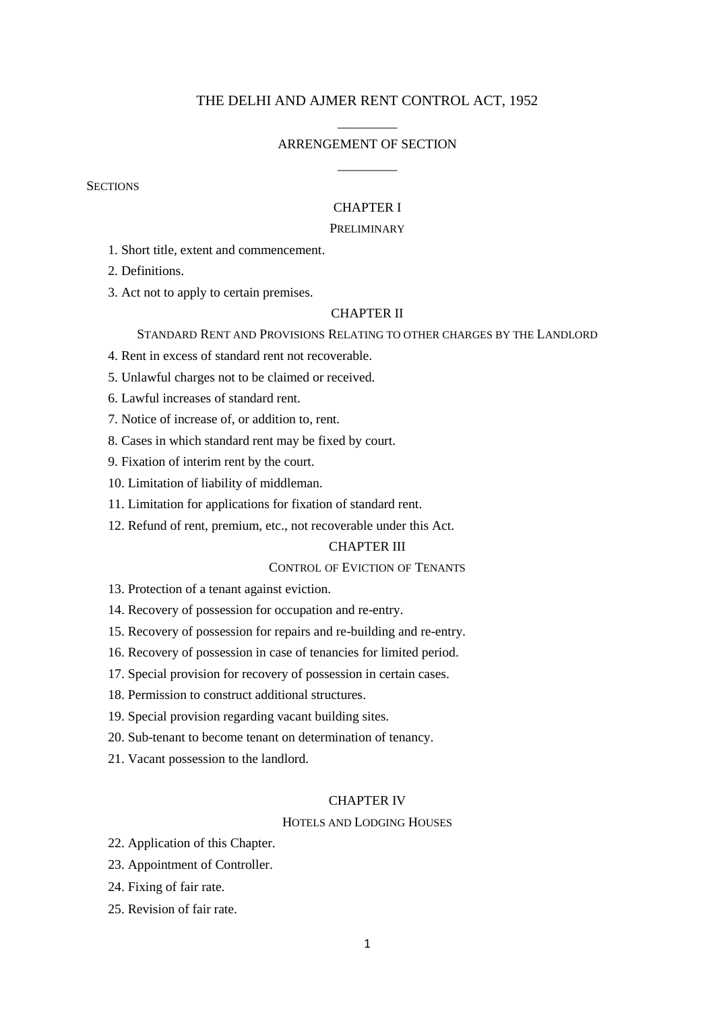## THE DELHI AND AJMER RENT CONTROL ACT, 1952

# \_\_\_\_\_\_\_\_\_ ARRENGEMENT OF SECTION \_\_\_\_\_\_\_\_\_

**SECTIONS** 

## CHAPTER I

## PRELIMINARY

1. Short title, extent and commencement.

2. Definitions.

3. Act not to apply to certain premises.

### CHAPTER II

STANDARD RENT AND PROVISIONS RELATING TO OTHER CHARGES BY THE LANDLORD

- 4. Rent in excess of standard rent not recoverable.
- 5. Unlawful charges not to be claimed or received.
- 6. Lawful increases of standard rent.
- 7. Notice of increase of, or addition to, rent.
- 8. Cases in which standard rent may be fixed by court.
- 9. Fixation of interim rent by the court.
- 10. Limitation of liability of middleman.
- 11. Limitation for applications for fixation of standard rent.
- 12. Refund of rent, premium, etc., not recoverable under this Act.

## CHAPTER III

## CONTROL OF EVICTION OF TENANTS

- 13. Protection of a tenant against eviction.
- 14. Recovery of possession for occupation and re-entry.
- 15. Recovery of possession for repairs and re-building and re-entry.
- 16. Recovery of possession in case of tenancies for limited period.
- 17. Special provision for recovery of possession in certain cases.
- 18. Permission to construct additional structures.
- 19. Special provision regarding vacant building sites.
- 20. Sub-tenant to become tenant on determination of tenancy.
- 21. Vacant possession to the landlord.

#### CHAPTER IV

#### HOTELS AND LODGING HOUSES

- 22. Application of this Chapter.
- 23. Appointment of Controller.
- 24. Fixing of fair rate.
- 25. Revision of fair rate.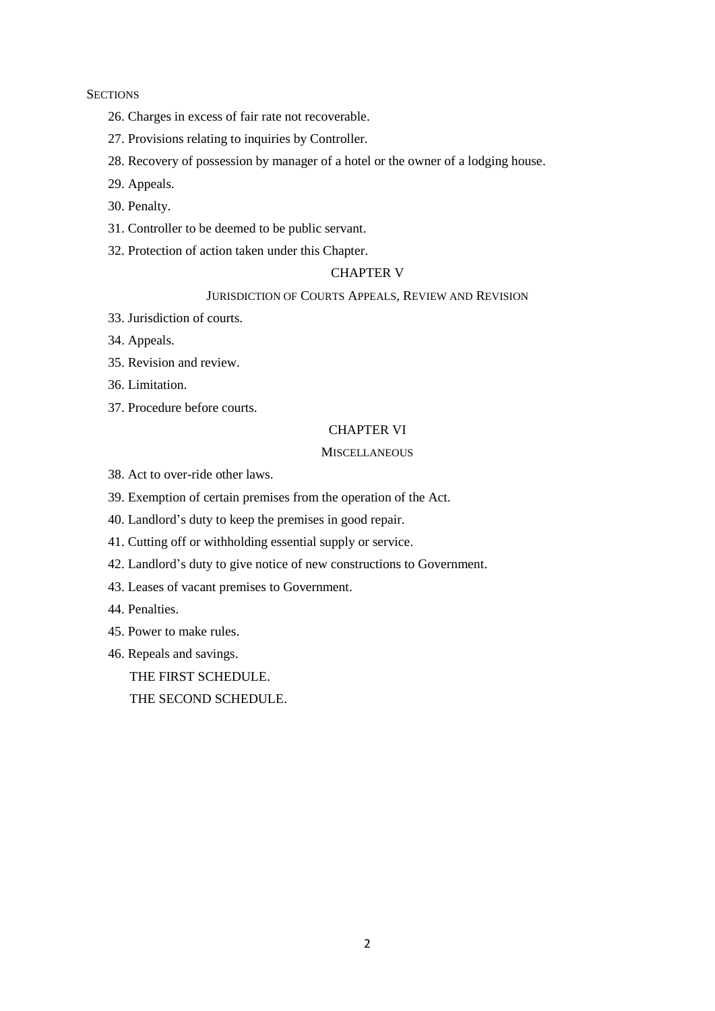**SECTIONS** 

- 26. Charges in excess of fair rate not recoverable.
- 27. Provisions relating to inquiries by Controller.
- 28. Recovery of possession by manager of a hotel or the owner of a lodging house.
- 29. Appeals.
- 30. Penalty.
- 31. Controller to be deemed to be public servant.
- 32. Protection of action taken under this Chapter.

## CHAPTER V

## JURISDICTION OF COURTS APPEALS, REVIEW AND REVISION

- 33. Jurisdiction of courts.
- 34. Appeals.
- 35. Revision and review.
- 36. Limitation.
- 37. Procedure before courts.

## CHAPTER VI

## **MISCELLANEOUS**

- 38. Act to over-ride other laws.
- 39. Exemption of certain premises from the operation of the Act.
- 40. Landlord's duty to keep the premises in good repair.
- 41. Cutting off or withholding essential supply or service.
- 42. Landlord's duty to give notice of new constructions to Government.
- 43. Leases of vacant premises to Government.
- 44. Penalties.
- 45. Power to make rules.
- 46. Repeals and savings.
	- THE FIRST SCHEDULE.

THE SECOND SCHEDULE.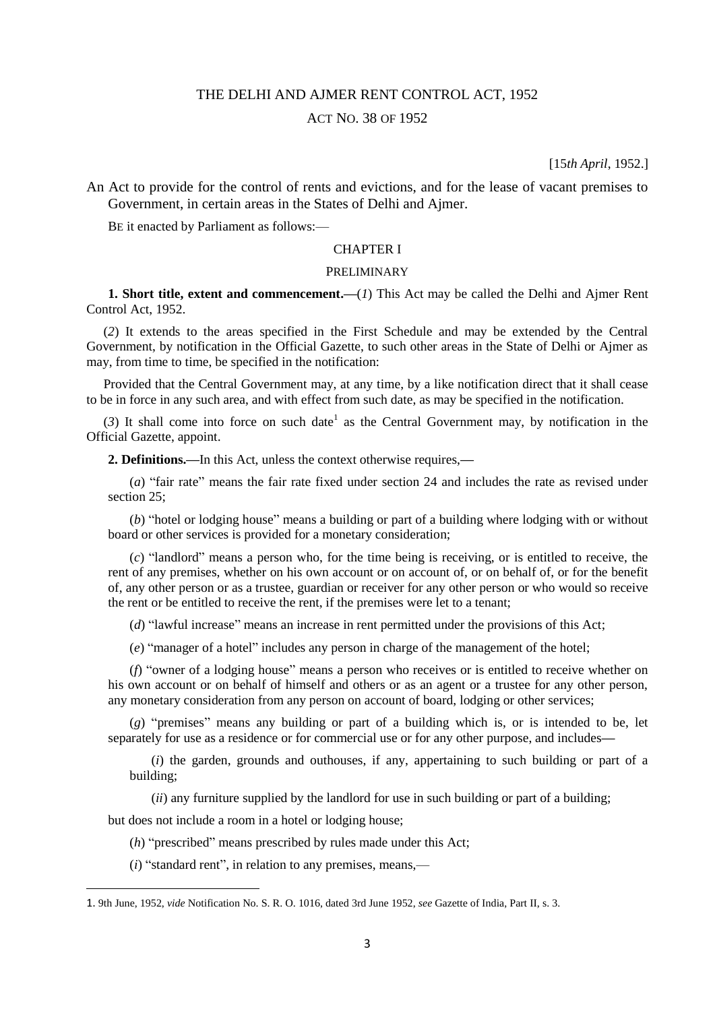## THE DELHI AND AJMER RENT CONTROL ACT, 1952

## ACT NO. 38 OF 1952

[15*th April*, 1952.]

An Act to provide for the control of rents and evictions, and for the lease of vacant premises to Government, in certain areas in the States of Delhi and Ajmer.

BE it enacted by Parliament as follows:—

### CHAPTER I

#### PRELIMINARY

**1. Short title, extent and commencement.—**(*1*) This Act may be called the Delhi and Ajmer Rent Control Act, 1952.

(*2*) It extends to the areas specified in the First Schedule and may be extended by the Central Government, by notification in the Official Gazette, to such other areas in the State of Delhi or Ajmer as may, from time to time, be specified in the notification:

Provided that the Central Government may, at any time, by a like notification direct that it shall cease to be in force in any such area, and with effect from such date, as may be specified in the notification.

 $(3)$  It shall come into force on such date<sup>1</sup> as the Central Government may, by notification in the Official Gazette, appoint.

**2. Definitions.—**In this Act, unless the context otherwise requires,**—**

(*a*) "fair rate" means the fair rate fixed under section 24 and includes the rate as revised under section 25;

(*b*) "hotel or lodging house" means a building or part of a building where lodging with or without board or other services is provided for a monetary consideration;

(*c*) "landlord" means a person who, for the time being is receiving, or is entitled to receive, the rent of any premises, whether on his own account or on account of, or on behalf of, or for the benefit of, any other person or as a trustee, guardian or receiver for any other person or who would so receive the rent or be entitled to receive the rent, if the premises were let to a tenant;

(*d*) "lawful increase" means an increase in rent permitted under the provisions of this Act;

(*e*) "manager of a hotel" includes any person in charge of the management of the hotel;

(*f*) "owner of a lodging house" means a person who receives or is entitled to receive whether on his own account or on behalf of himself and others or as an agent or a trustee for any other person, any monetary consideration from any person on account of board, lodging or other services;

(*g*) "premises" means any building or part of a building which is, or is intended to be, let separately for use as a residence or for commercial use or for any other purpose, and includes**—**

(*i*) the garden, grounds and outhouses, if any, appertaining to such building or part of a building;

*(ii)* any furniture supplied by the landlord for use in such building or part of a building;

but does not include a room in a hotel or lodging house;

 $\overline{\phantom{a}}$ 

(*h*) "prescribed" means prescribed by rules made under this Act;

(*i*) "standard rent", in relation to any premises, means,—

<sup>1.</sup> 9th June, 1952, *vide* Notification No. S. R. O. 1016, dated 3rd June 1952, *see* Gazette of India, Part II, s. 3.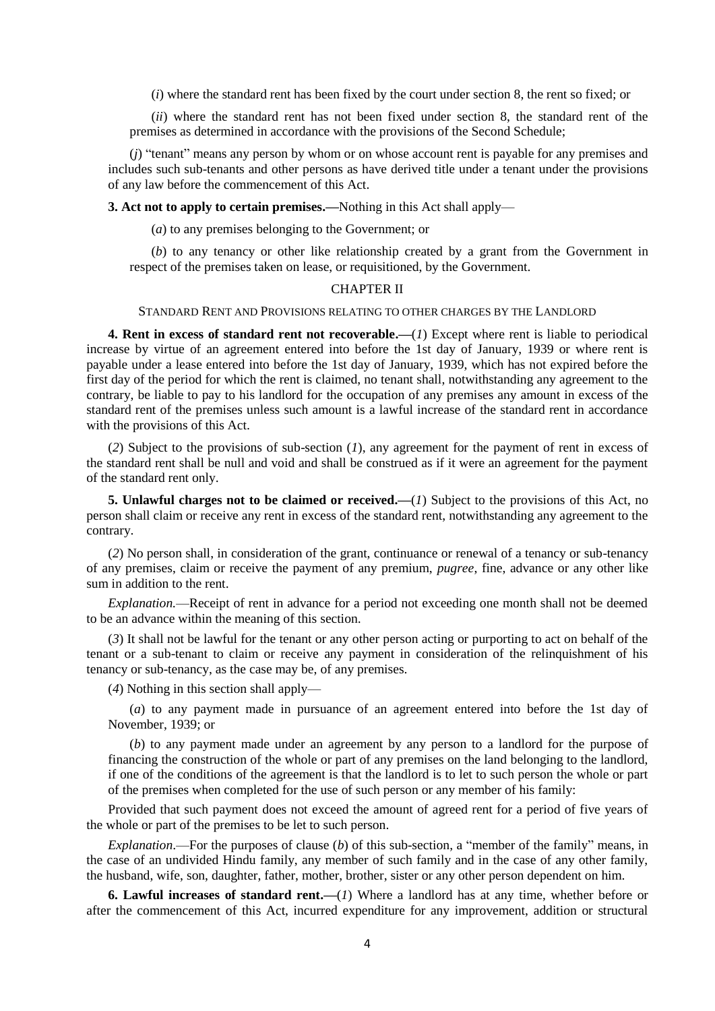(*i*) where the standard rent has been fixed by the court under section 8, the rent so fixed; or

(*ii*) where the standard rent has not been fixed under section 8, the standard rent of the premises as determined in accordance with the provisions of the Second Schedule;

(*j*) "tenant" means any person by whom or on whose account rent is payable for any premises and includes such sub-tenants and other persons as have derived title under a tenant under the provisions of any law before the commencement of this Act.

**3. Act not to apply to certain premises.—**Nothing in this Act shall apply—

(*a*) to any premises belonging to the Government; or

(*b*) to any tenancy or other like relationship created by a grant from the Government in respect of the premises taken on lease, or requisitioned, by the Government.

#### CHAPTER II

#### STANDARD RENT AND PROVISIONS RELATING TO OTHER CHARGES BY THE LANDLORD

**4. Rent in excess of standard rent not recoverable.—**(*1*) Except where rent is liable to periodical increase by virtue of an agreement entered into before the 1st day of January, 1939 or where rent is payable under a lease entered into before the 1st day of January, 1939, which has not expired before the first day of the period for which the rent is claimed, no tenant shall, notwithstanding any agreement to the contrary, be liable to pay to his landlord for the occupation of any premises any amount in excess of the standard rent of the premises unless such amount is a lawful increase of the standard rent in accordance with the provisions of this Act.

(*2*) Subject to the provisions of sub-section (*1*), any agreement for the payment of rent in excess of the standard rent shall be null and void and shall be construed as if it were an agreement for the payment of the standard rent only.

**5. Unlawful charges not to be claimed or received.—(***1***) Subject to the provisions of this Act, no** person shall claim or receive any rent in excess of the standard rent, notwithstanding any agreement to the contrary.

(*2*) No person shall, in consideration of the grant, continuance or renewal of a tenancy or sub-tenancy of any premises, claim or receive the payment of any premium, *pugree*, fine, advance or any other like sum in addition to the rent.

*Explanation.*—Receipt of rent in advance for a period not exceeding one month shall not be deemed to be an advance within the meaning of this section.

(*3*) It shall not be lawful for the tenant or any other person acting or purporting to act on behalf of the tenant or a sub-tenant to claim or receive any payment in consideration of the relinquishment of his tenancy or sub-tenancy, as the case may be, of any premises.

(*4*) Nothing in this section shall apply—

(*a*) to any payment made in pursuance of an agreement entered into before the 1st day of November, 1939; or

(*b*) to any payment made under an agreement by any person to a landlord for the purpose of financing the construction of the whole or part of any premises on the land belonging to the landlord, if one of the conditions of the agreement is that the landlord is to let to such person the whole or part of the premises when completed for the use of such person or any member of his family:

Provided that such payment does not exceed the amount of agreed rent for a period of five years of the whole or part of the premises to be let to such person.

*Explanation*.—For the purposes of clause (*b*) of this sub-section, a "member of the family" means, in the case of an undivided Hindu family, any member of such family and in the case of any other family, the husband, wife, son, daughter, father, mother, brother, sister or any other person dependent on him.

**6. Lawful increases of standard rent.—**(*1*) Where a landlord has at any time, whether before or after the commencement of this Act, incurred expenditure for any improvement, addition or structural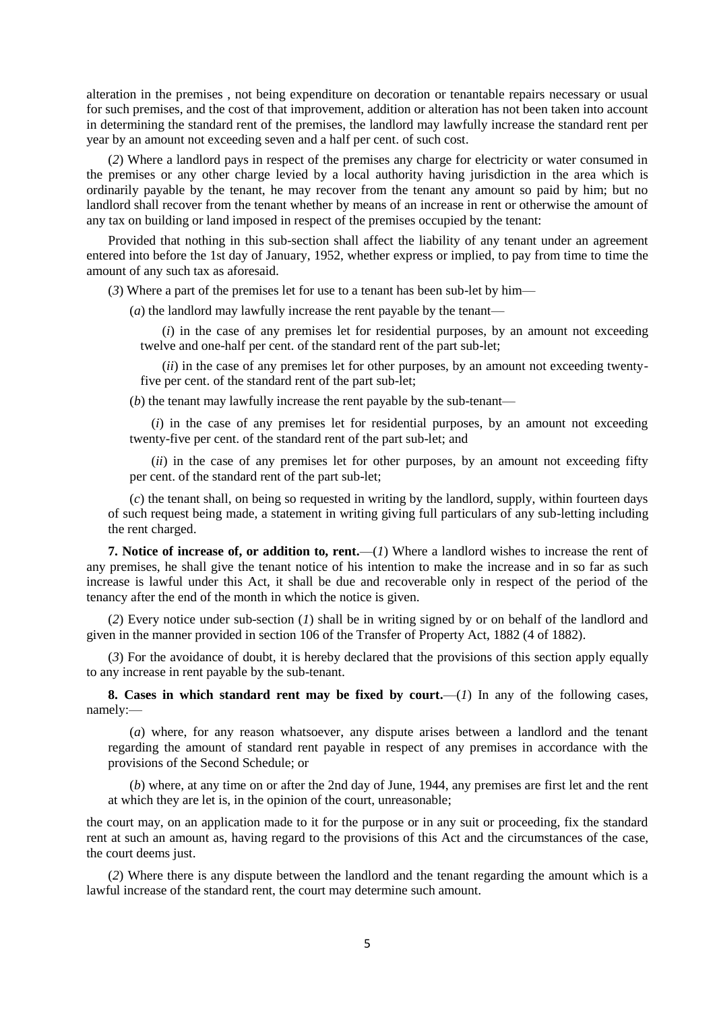alteration in the premises , not being expenditure on decoration or tenantable repairs necessary or usual for such premises, and the cost of that improvement, addition or alteration has not been taken into account in determining the standard rent of the premises, the landlord may lawfully increase the standard rent per year by an amount not exceeding seven and a half per cent. of such cost.

(*2*) Where a landlord pays in respect of the premises any charge for electricity or water consumed in the premises or any other charge levied by a local authority having jurisdiction in the area which is ordinarily payable by the tenant, he may recover from the tenant any amount so paid by him; but no landlord shall recover from the tenant whether by means of an increase in rent or otherwise the amount of any tax on building or land imposed in respect of the premises occupied by the tenant:

Provided that nothing in this sub-section shall affect the liability of any tenant under an agreement entered into before the 1st day of January, 1952, whether express or implied, to pay from time to time the amount of any such tax as aforesaid.

(*3*) Where a part of the premises let for use to a tenant has been sub-let by him—

(*a*) the landlord may lawfully increase the rent payable by the tenant—

(*i*) in the case of any premises let for residential purposes, by an amount not exceeding twelve and one-half per cent. of the standard rent of the part sub-let;

(*ii*) in the case of any premises let for other purposes, by an amount not exceeding twentyfive per cent. of the standard rent of the part sub-let;

(*b*) the tenant may lawfully increase the rent payable by the sub-tenant—

(*i*) in the case of any premises let for residential purposes, by an amount not exceeding twenty-five per cent. of the standard rent of the part sub-let; and

(*ii*) in the case of any premises let for other purposes, by an amount not exceeding fifty per cent. of the standard rent of the part sub-let;

(*c*) the tenant shall, on being so requested in writing by the landlord, supply, within fourteen days of such request being made, a statement in writing giving full particulars of any sub-letting including the rent charged.

**7. Notice of increase of, or addition to, rent.**—(*1*) Where a landlord wishes to increase the rent of any premises, he shall give the tenant notice of his intention to make the increase and in so far as such increase is lawful under this Act, it shall be due and recoverable only in respect of the period of the tenancy after the end of the month in which the notice is given.

(*2*) Every notice under sub-section (*1*) shall be in writing signed by or on behalf of the landlord and given in the manner provided in section 106 of the Transfer of Property Act, 1882 (4 of 1882).

(*3*) For the avoidance of doubt, it is hereby declared that the provisions of this section apply equally to any increase in rent payable by the sub-tenant.

**8. Cases in which standard rent may be fixed by court.**—(*1*) In any of the following cases, namely:—

(*a*) where, for any reason whatsoever, any dispute arises between a landlord and the tenant regarding the amount of standard rent payable in respect of any premises in accordance with the provisions of the Second Schedule; or

(*b*) where, at any time on or after the 2nd day of June, 1944, any premises are first let and the rent at which they are let is, in the opinion of the court, unreasonable;

the court may, on an application made to it for the purpose or in any suit or proceeding, fix the standard rent at such an amount as, having regard to the provisions of this Act and the circumstances of the case, the court deems just.

(*2*) Where there is any dispute between the landlord and the tenant regarding the amount which is a lawful increase of the standard rent, the court may determine such amount.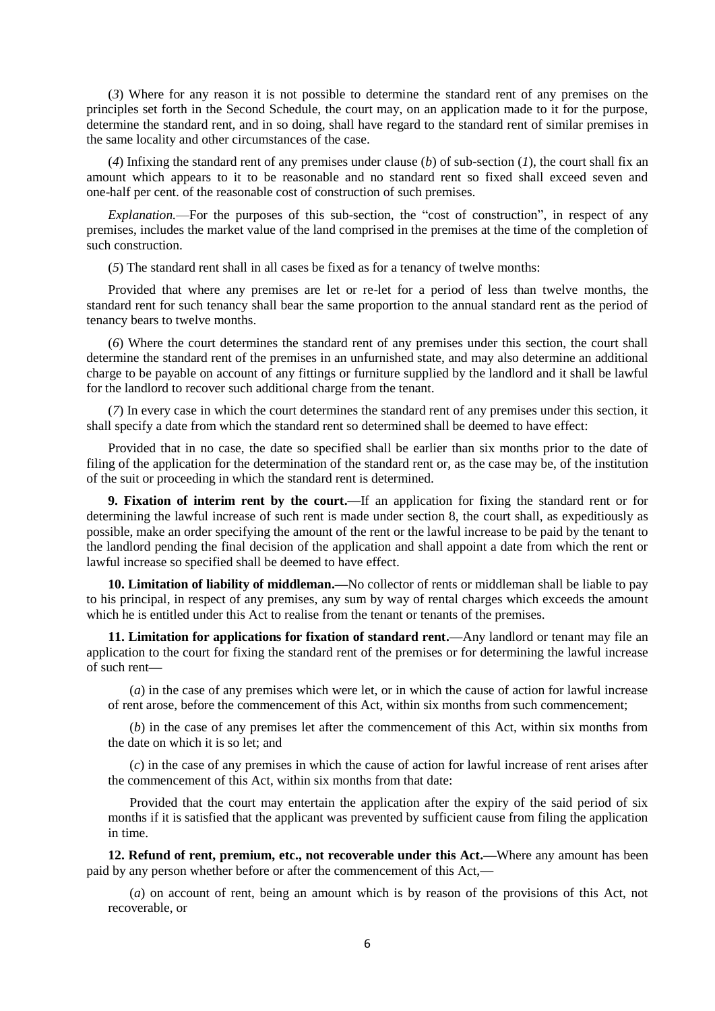(*3*) Where for any reason it is not possible to determine the standard rent of any premises on the principles set forth in the Second Schedule, the court may, on an application made to it for the purpose, determine the standard rent, and in so doing, shall have regard to the standard rent of similar premises in the same locality and other circumstances of the case.

(*4*) Infixing the standard rent of any premises under clause (*b*) of sub-section (*1*), the court shall fix an amount which appears to it to be reasonable and no standard rent so fixed shall exceed seven and one-half per cent. of the reasonable cost of construction of such premises.

*Explanation.*—For the purposes of this sub-section, the "cost of construction", in respect of any premises, includes the market value of the land comprised in the premises at the time of the completion of such construction

(*5*) The standard rent shall in all cases be fixed as for a tenancy of twelve months:

Provided that where any premises are let or re-let for a period of less than twelve months, the standard rent for such tenancy shall bear the same proportion to the annual standard rent as the period of tenancy bears to twelve months.

(*6*) Where the court determines the standard rent of any premises under this section, the court shall determine the standard rent of the premises in an unfurnished state, and may also determine an additional charge to be payable on account of any fittings or furniture supplied by the landlord and it shall be lawful for the landlord to recover such additional charge from the tenant.

(*7*) In every case in which the court determines the standard rent of any premises under this section, it shall specify a date from which the standard rent so determined shall be deemed to have effect:

Provided that in no case, the date so specified shall be earlier than six months prior to the date of filing of the application for the determination of the standard rent or, as the case may be, of the institution of the suit or proceeding in which the standard rent is determined.

**9. Fixation of interim rent by the court.—**If an application for fixing the standard rent or for determining the lawful increase of such rent is made under section 8, the court shall, as expeditiously as possible, make an order specifying the amount of the rent or the lawful increase to be paid by the tenant to the landlord pending the final decision of the application and shall appoint a date from which the rent or lawful increase so specified shall be deemed to have effect.

**10. Limitation of liability of middleman.—**No collector of rents or middleman shall be liable to pay to his principal, in respect of any premises, any sum by way of rental charges which exceeds the amount which he is entitled under this Act to realise from the tenant or tenants of the premises.

**11. Limitation for applications for fixation of standard rent.—**Any landlord or tenant may file an application to the court for fixing the standard rent of the premises or for determining the lawful increase of such rent**—**

(*a*) in the case of any premises which were let, or in which the cause of action for lawful increase of rent arose, before the commencement of this Act, within six months from such commencement;

(*b*) in the case of any premises let after the commencement of this Act, within six months from the date on which it is so let; and

(*c*) in the case of any premises in which the cause of action for lawful increase of rent arises after the commencement of this Act, within six months from that date:

Provided that the court may entertain the application after the expiry of the said period of six months if it is satisfied that the applicant was prevented by sufficient cause from filing the application in time.

**12. Refund of rent, premium, etc., not recoverable under this Act.—**Where any amount has been paid by any person whether before or after the commencement of this Act,**—**

(*a*) on account of rent, being an amount which is by reason of the provisions of this Act, not recoverable, or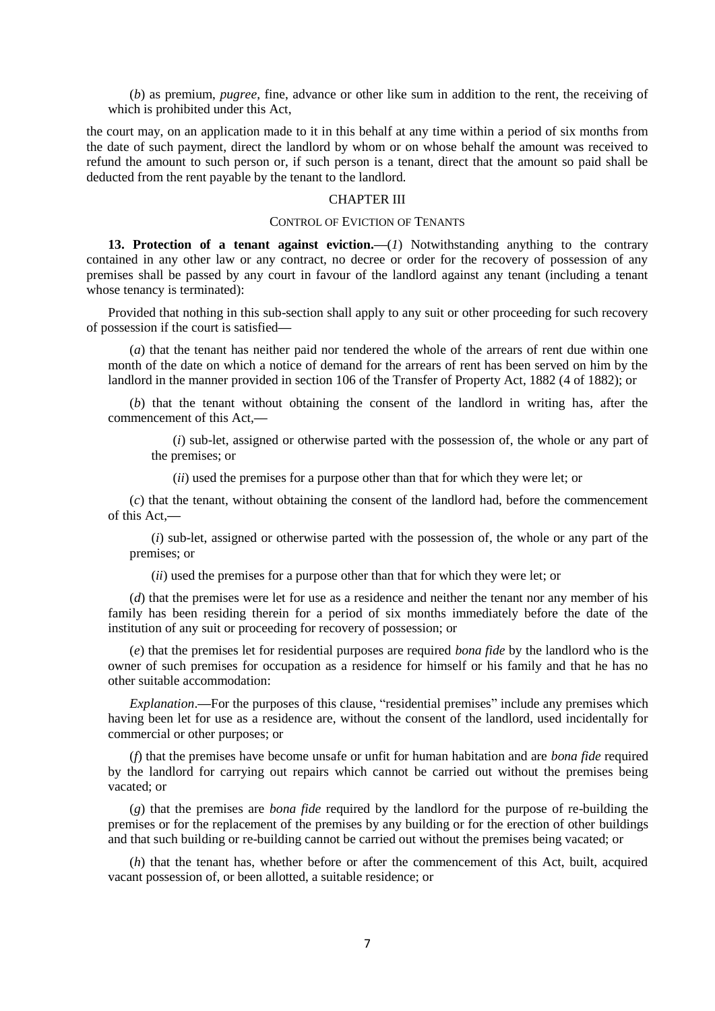(*b*) as premium, *pugree*, fine, advance or other like sum in addition to the rent, the receiving of which is prohibited under this Act,

the court may, on an application made to it in this behalf at any time within a period of six months from the date of such payment, direct the landlord by whom or on whose behalf the amount was received to refund the amount to such person or, if such person is a tenant, direct that the amount so paid shall be deducted from the rent payable by the tenant to the landlord.

### CHAPTER III

#### CONTROL OF EVICTION OF TENANTS

**13. Protection of a tenant against eviction.—**(*1*) Notwithstanding anything to the contrary contained in any other law or any contract, no decree or order for the recovery of possession of any premises shall be passed by any court in favour of the landlord against any tenant (including a tenant whose tenancy is terminated):

Provided that nothing in this sub-section shall apply to any suit or other proceeding for such recovery of possession if the court is satisfied**—**

(*a*) that the tenant has neither paid nor tendered the whole of the arrears of rent due within one month of the date on which a notice of demand for the arrears of rent has been served on him by the landlord in the manner provided in section 106 of the Transfer of Property Act, 1882 (4 of 1882); or

(*b*) that the tenant without obtaining the consent of the landlord in writing has, after the commencement of this Act,**—**

(*i*) sub-let, assigned or otherwise parted with the possession of, the whole or any part of the premises; or

(*ii*) used the premises for a purpose other than that for which they were let; or

(*c*) that the tenant, without obtaining the consent of the landlord had, before the commencement of this Act,**—**

(*i*) sub-let, assigned or otherwise parted with the possession of, the whole or any part of the premises; or

(*ii*) used the premises for a purpose other than that for which they were let; or

(*d*) that the premises were let for use as a residence and neither the tenant nor any member of his family has been residing therein for a period of six months immediately before the date of the institution of any suit or proceeding for recovery of possession; or

(*e*) that the premises let for residential purposes are required *bona fide* by the landlord who is the owner of such premises for occupation as a residence for himself or his family and that he has no other suitable accommodation:

*Explanation*.**—**For the purposes of this clause, "residential premises" include any premises which having been let for use as a residence are, without the consent of the landlord, used incidentally for commercial or other purposes; or

(*f*) that the premises have become unsafe or unfit for human habitation and are *bona fide* required by the landlord for carrying out repairs which cannot be carried out without the premises being vacated; or

(*g*) that the premises are *bona fide* required by the landlord for the purpose of re-building the premises or for the replacement of the premises by any building or for the erection of other buildings and that such building or re-building cannot be carried out without the premises being vacated; or

(*h*) that the tenant has, whether before or after the commencement of this Act, built, acquired vacant possession of, or been allotted, a suitable residence; or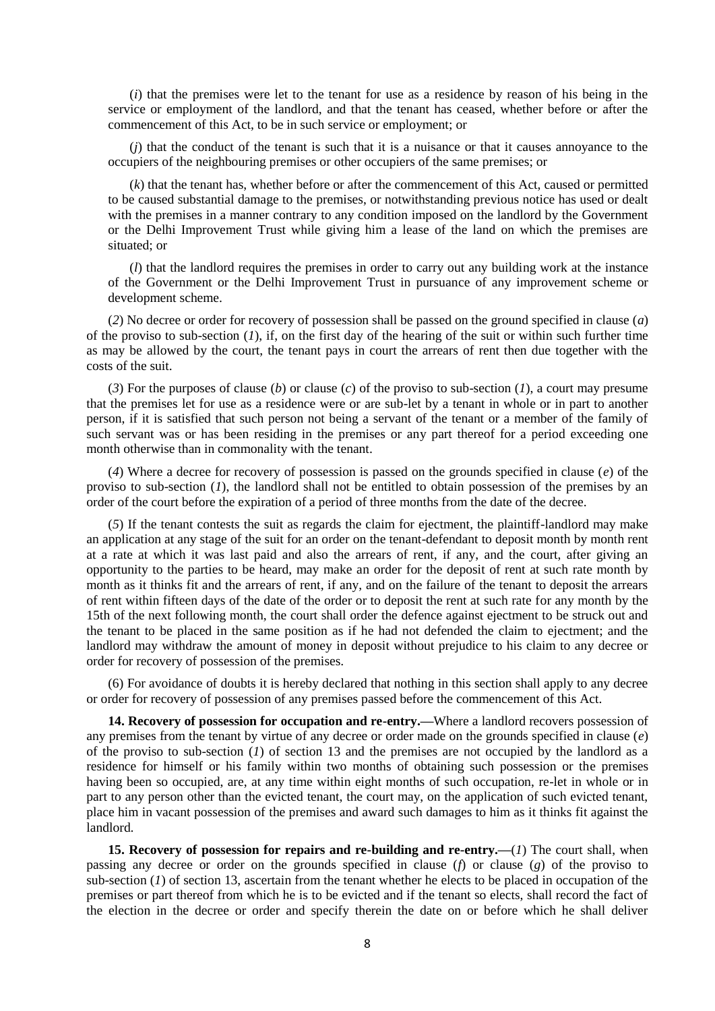(*i*) that the premises were let to the tenant for use as a residence by reason of his being in the service or employment of the landlord, and that the tenant has ceased, whether before or after the commencement of this Act, to be in such service or employment; or

(*j*) that the conduct of the tenant is such that it is a nuisance or that it causes annoyance to the occupiers of the neighbouring premises or other occupiers of the same premises; or

(*k*) that the tenant has, whether before or after the commencement of this Act, caused or permitted to be caused substantial damage to the premises, or notwithstanding previous notice has used or dealt with the premises in a manner contrary to any condition imposed on the landlord by the Government or the Delhi Improvement Trust while giving him a lease of the land on which the premises are situated; or

(*l*) that the landlord requires the premises in order to carry out any building work at the instance of the Government or the Delhi Improvement Trust in pursuance of any improvement scheme or development scheme.

(*2*) No decree or order for recovery of possession shall be passed on the ground specified in clause (*a*) of the proviso to sub-section (*1*), if, on the first day of the hearing of the suit or within such further time as may be allowed by the court, the tenant pays in court the arrears of rent then due together with the costs of the suit.

(*3*) For the purposes of clause (*b*) or clause (*c*) of the proviso to sub-section (*1*), a court may presume that the premises let for use as a residence were or are sub-let by a tenant in whole or in part to another person, if it is satisfied that such person not being a servant of the tenant or a member of the family of such servant was or has been residing in the premises or any part thereof for a period exceeding one month otherwise than in commonality with the tenant.

(*4*) Where a decree for recovery of possession is passed on the grounds specified in clause (*e*) of the proviso to sub-section (*1*), the landlord shall not be entitled to obtain possession of the premises by an order of the court before the expiration of a period of three months from the date of the decree.

(*5*) If the tenant contests the suit as regards the claim for ejectment, the plaintiff-landlord may make an application at any stage of the suit for an order on the tenant-defendant to deposit month by month rent at a rate at which it was last paid and also the arrears of rent, if any, and the court, after giving an opportunity to the parties to be heard, may make an order for the deposit of rent at such rate month by month as it thinks fit and the arrears of rent, if any, and on the failure of the tenant to deposit the arrears of rent within fifteen days of the date of the order or to deposit the rent at such rate for any month by the 15th of the next following month, the court shall order the defence against ejectment to be struck out and the tenant to be placed in the same position as if he had not defended the claim to ejectment; and the landlord may withdraw the amount of money in deposit without prejudice to his claim to any decree or order for recovery of possession of the premises.

(6) For avoidance of doubts it is hereby declared that nothing in this section shall apply to any decree or order for recovery of possession of any premises passed before the commencement of this Act.

**14. Recovery of possession for occupation and re-entry.—**Where a landlord recovers possession of any premises from the tenant by virtue of any decree or order made on the grounds specified in clause (*e*) of the proviso to sub-section  $(1)$  of section 13 and the premises are not occupied by the landlord as a residence for himself or his family within two months of obtaining such possession or the premises having been so occupied, are, at any time within eight months of such occupation, re-let in whole or in part to any person other than the evicted tenant, the court may, on the application of such evicted tenant, place him in vacant possession of the premises and award such damages to him as it thinks fit against the landlord.

**15. Recovery of possession for repairs and re-building and re-entry.—**(*1*) The court shall, when passing any decree or order on the grounds specified in clause (*f*) or clause (*g*) of the proviso to sub-section  $(1)$  of section 13, ascertain from the tenant whether he elects to be placed in occupation of the premises or part thereof from which he is to be evicted and if the tenant so elects, shall record the fact of the election in the decree or order and specify therein the date on or before which he shall deliver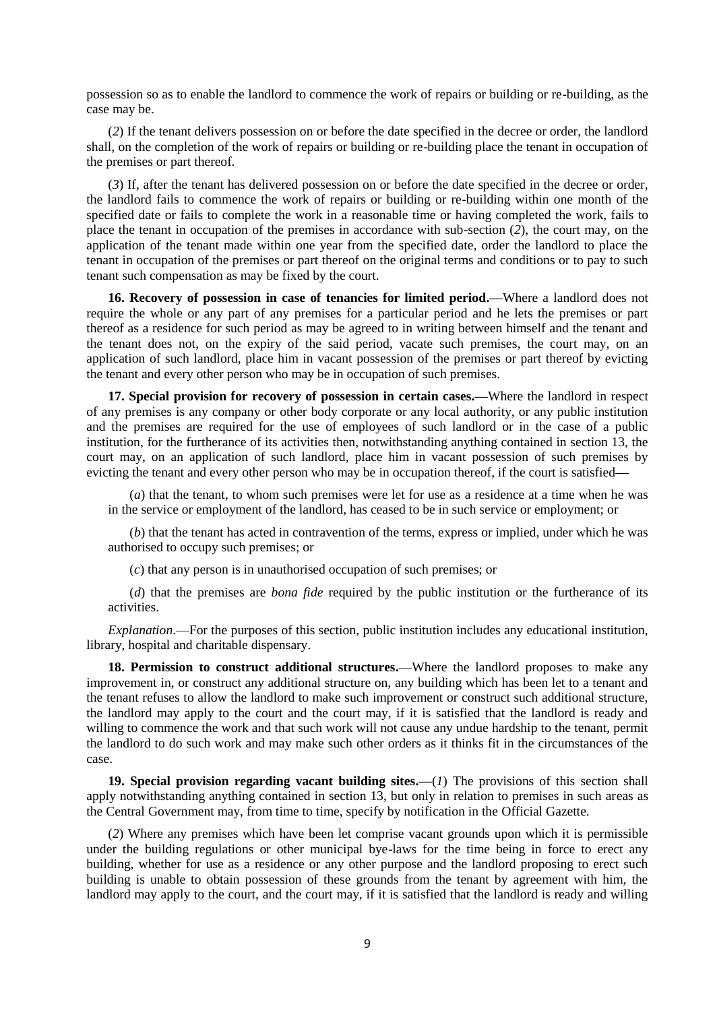possession so as to enable the landlord to commence the work of repairs or building or re-building, as the case may be.

(*2*) If the tenant delivers possession on or before the date specified in the decree or order, the landlord shall, on the completion of the work of repairs or building or re-building place the tenant in occupation of the premises or part thereof.

(*3*) If, after the tenant has delivered possession on or before the date specified in the decree or order, the landlord fails to commence the work of repairs or building or re-building within one month of the specified date or fails to complete the work in a reasonable time or having completed the work, fails to place the tenant in occupation of the premises in accordance with sub-section (*2*), the court may, on the application of the tenant made within one year from the specified date, order the landlord to place the tenant in occupation of the premises or part thereof on the original terms and conditions or to pay to such tenant such compensation as may be fixed by the court.

**16. Recovery of possession in case of tenancies for limited period.—**Where a landlord does not require the whole or any part of any premises for a particular period and he lets the premises or part thereof as a residence for such period as may be agreed to in writing between himself and the tenant and the tenant does not, on the expiry of the said period, vacate such premises, the court may, on an application of such landlord, place him in vacant possession of the premises or part thereof by evicting the tenant and every other person who may be in occupation of such premises.

**17. Special provision for recovery of possession in certain cases.—**Where the landlord in respect of any premises is any company or other body corporate or any local authority, or any public institution and the premises are required for the use of employees of such landlord or in the case of a public institution, for the furtherance of its activities then, notwithstanding anything contained in section 13, the court may, on an application of such landlord, place him in vacant possession of such premises by evicting the tenant and every other person who may be in occupation thereof, if the court is satisfied**—**

(*a*) that the tenant, to whom such premises were let for use as a residence at a time when he was in the service or employment of the landlord, has ceased to be in such service or employment; or

(*b*) that the tenant has acted in contravention of the terms, express or implied, under which he was authorised to occupy such premises; or

(*c*) that any person is in unauthorised occupation of such premises; or

(*d*) that the premises are *bona fide* required by the public institution or the furtherance of its activities.

*Explanation*.—For the purposes of this section, public institution includes any educational institution, library, hospital and charitable dispensary.

**18. Permission to construct additional structures.**—Where the landlord proposes to make any improvement in, or construct any additional structure on, any building which has been let to a tenant and the tenant refuses to allow the landlord to make such improvement or construct such additional structure, the landlord may apply to the court and the court may, if it is satisfied that the landlord is ready and willing to commence the work and that such work will not cause any undue hardship to the tenant, permit the landlord to do such work and may make such other orders as it thinks fit in the circumstances of the case.

**19. Special provision regarding vacant building sites.—**(*1*) The provisions of this section shall apply notwithstanding anything contained in section 13, but only in relation to premises in such areas as the Central Government may, from time to time, specify by notification in the Official Gazette.

(*2*) Where any premises which have been let comprise vacant grounds upon which it is permissible under the building regulations or other municipal bye-laws for the time being in force to erect any building, whether for use as a residence or any other purpose and the landlord proposing to erect such building is unable to obtain possession of these grounds from the tenant by agreement with him, the landlord may apply to the court, and the court may, if it is satisfied that the landlord is ready and willing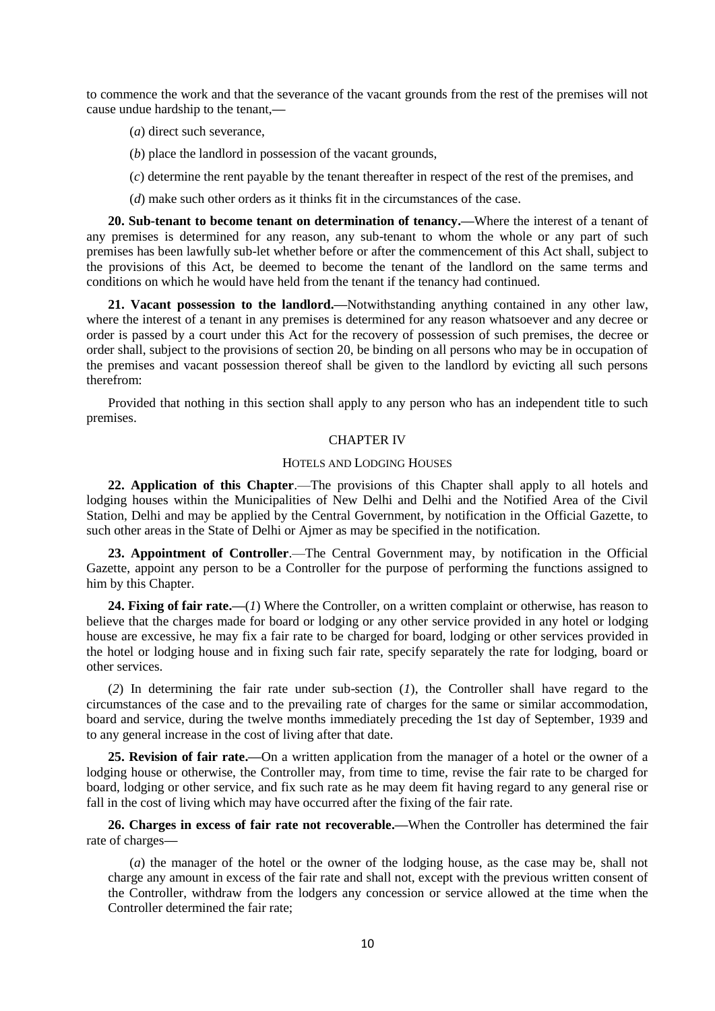to commence the work and that the severance of the vacant grounds from the rest of the premises will not cause undue hardship to the tenant,**—**

- (*a*) direct such severance,
- (*b*) place the landlord in possession of the vacant grounds,
- (*c*) determine the rent payable by the tenant thereafter in respect of the rest of the premises, and
- (*d*) make such other orders as it thinks fit in the circumstances of the case.

**20. Sub-tenant to become tenant on determination of tenancy.—**Where the interest of a tenant of any premises is determined for any reason, any sub-tenant to whom the whole or any part of such premises has been lawfully sub-let whether before or after the commencement of this Act shall, subject to the provisions of this Act, be deemed to become the tenant of the landlord on the same terms and conditions on which he would have held from the tenant if the tenancy had continued.

**21. Vacant possession to the landlord.—**Notwithstanding anything contained in any other law, where the interest of a tenant in any premises is determined for any reason whatsoever and any decree or order is passed by a court under this Act for the recovery of possession of such premises, the decree or order shall, subject to the provisions of section 20, be binding on all persons who may be in occupation of the premises and vacant possession thereof shall be given to the landlord by evicting all such persons therefrom:

Provided that nothing in this section shall apply to any person who has an independent title to such premises.

### CHAPTER IV

#### HOTELS AND LODGING HOUSES

**22. Application of this Chapter**.—The provisions of this Chapter shall apply to all hotels and lodging houses within the Municipalities of New Delhi and Delhi and the Notified Area of the Civil Station, Delhi and may be applied by the Central Government, by notification in the Official Gazette, to such other areas in the State of Delhi or Ajmer as may be specified in the notification.

**23. Appointment of Controller**.—The Central Government may, by notification in the Official Gazette, appoint any person to be a Controller for the purpose of performing the functions assigned to him by this Chapter.

**24. Fixing of fair rate.—**(*1*) Where the Controller, on a written complaint or otherwise, has reason to believe that the charges made for board or lodging or any other service provided in any hotel or lodging house are excessive, he may fix a fair rate to be charged for board, lodging or other services provided in the hotel or lodging house and in fixing such fair rate, specify separately the rate for lodging, board or other services.

(*2*) In determining the fair rate under sub-section (*1*), the Controller shall have regard to the circumstances of the case and to the prevailing rate of charges for the same or similar accommodation, board and service, during the twelve months immediately preceding the 1st day of September, 1939 and to any general increase in the cost of living after that date.

**25. Revision of fair rate.—**On a written application from the manager of a hotel or the owner of a lodging house or otherwise, the Controller may, from time to time, revise the fair rate to be charged for board, lodging or other service, and fix such rate as he may deem fit having regard to any general rise or fall in the cost of living which may have occurred after the fixing of the fair rate.

**26. Charges in excess of fair rate not recoverable.—**When the Controller has determined the fair rate of charges**—**

(*a*) the manager of the hotel or the owner of the lodging house, as the case may be, shall not charge any amount in excess of the fair rate and shall not, except with the previous written consent of the Controller, withdraw from the lodgers any concession or service allowed at the time when the Controller determined the fair rate;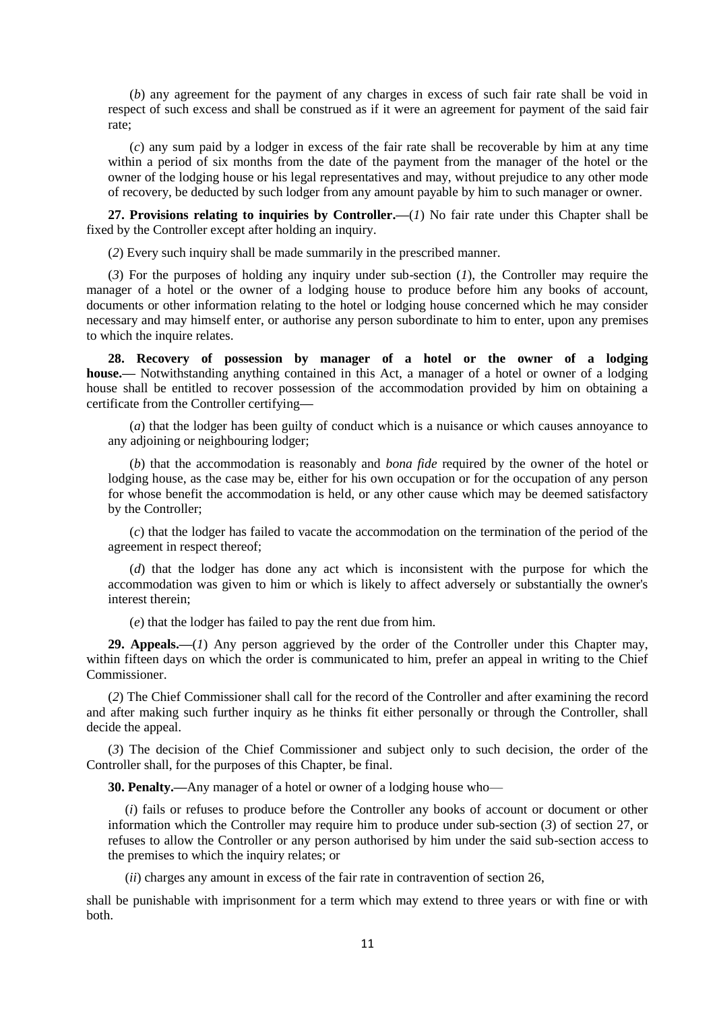(*b*) any agreement for the payment of any charges in excess of such fair rate shall be void in respect of such excess and shall be construed as if it were an agreement for payment of the said fair rate;

(*c*) any sum paid by a lodger in excess of the fair rate shall be recoverable by him at any time within a period of six months from the date of the payment from the manager of the hotel or the owner of the lodging house or his legal representatives and may, without prejudice to any other mode of recovery, be deducted by such lodger from any amount payable by him to such manager or owner.

**27. Provisions relating to inquiries by Controller.—**(*1*) No fair rate under this Chapter shall be fixed by the Controller except after holding an inquiry.

(*2*) Every such inquiry shall be made summarily in the prescribed manner.

(*3*) For the purposes of holding any inquiry under sub-section (*1*), the Controller may require the manager of a hotel or the owner of a lodging house to produce before him any books of account, documents or other information relating to the hotel or lodging house concerned which he may consider necessary and may himself enter, or authorise any person subordinate to him to enter, upon any premises to which the inquire relates.

**28. Recovery of possession by manager of a hotel or the owner of a lodging house.—** Notwithstanding anything contained in this Act, a manager of a hotel or owner of a lodging house shall be entitled to recover possession of the accommodation provided by him on obtaining a certificate from the Controller certifying**—**

(*a*) that the lodger has been guilty of conduct which is a nuisance or which causes annoyance to any adjoining or neighbouring lodger;

(*b*) that the accommodation is reasonably and *bona fide* required by the owner of the hotel or lodging house, as the case may be, either for his own occupation or for the occupation of any person for whose benefit the accommodation is held, or any other cause which may be deemed satisfactory by the Controller;

(*c*) that the lodger has failed to vacate the accommodation on the termination of the period of the agreement in respect thereof;

(*d*) that the lodger has done any act which is inconsistent with the purpose for which the accommodation was given to him or which is likely to affect adversely or substantially the owner's interest therein;

(*e*) that the lodger has failed to pay the rent due from him.

29. Appeals.—(*1*) Any person aggrieved by the order of the Controller under this Chapter may, within fifteen days on which the order is communicated to him, prefer an appeal in writing to the Chief Commissioner.

(*2*) The Chief Commissioner shall call for the record of the Controller and after examining the record and after making such further inquiry as he thinks fit either personally or through the Controller, shall decide the appeal.

(*3*) The decision of the Chief Commissioner and subject only to such decision, the order of the Controller shall, for the purposes of this Chapter, be final.

**30. Penalty.—**Any manager of a hotel or owner of a lodging house who—

(*i*) fails or refuses to produce before the Controller any books of account or document or other information which the Controller may require him to produce under sub-section (*3*) of section 27, or refuses to allow the Controller or any person authorised by him under the said sub-section access to the premises to which the inquiry relates; or

(*ii*) charges any amount in excess of the fair rate in contravention of section 26,

shall be punishable with imprisonment for a term which may extend to three years or with fine or with both.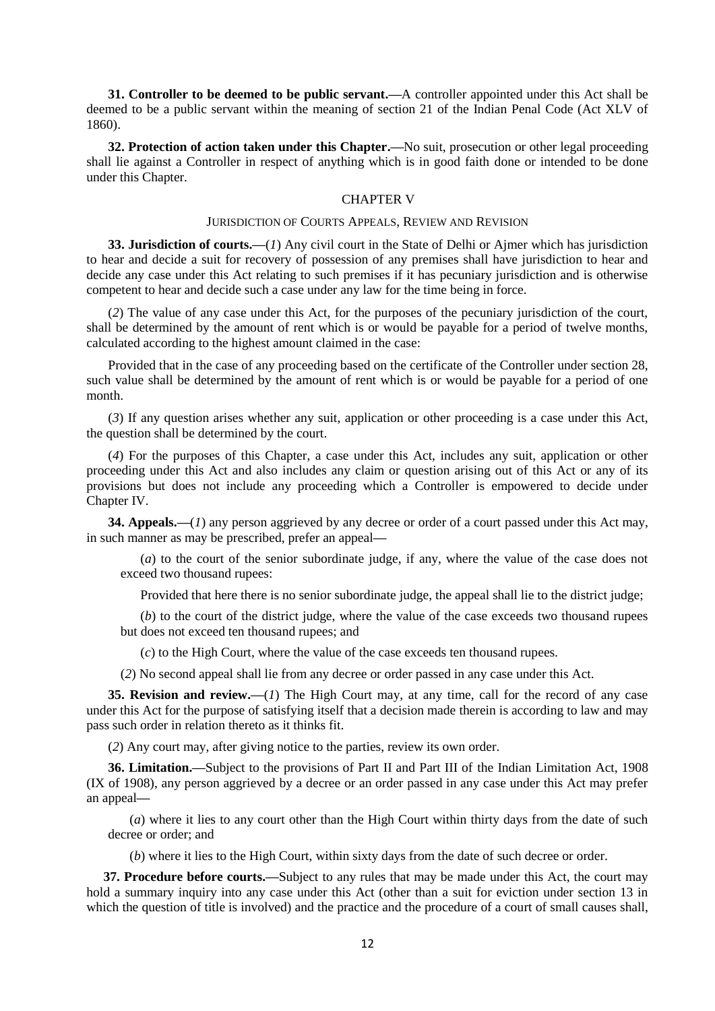**31. Controller to be deemed to be public servant.—**A controller appointed under this Act shall be deemed to be a public servant within the meaning of section 21 of the Indian Penal Code (Act XLV of 1860).

**32. Protection of action taken under this Chapter.—**No suit, prosecution or other legal proceeding shall lie against a Controller in respect of anything which is in good faith done or intended to be done under this Chapter.

#### CHAPTER V

#### JURISDICTION OF COURTS APPEALS, REVIEW AND REVISION

**33. Jurisdiction of courts.—**(*1*) Any civil court in the State of Delhi or Ajmer which has jurisdiction to hear and decide a suit for recovery of possession of any premises shall have jurisdiction to hear and decide any case under this Act relating to such premises if it has pecuniary jurisdiction and is otherwise competent to hear and decide such a case under any law for the time being in force.

(*2*) The value of any case under this Act, for the purposes of the pecuniary jurisdiction of the court, shall be determined by the amount of rent which is or would be payable for a period of twelve months, calculated according to the highest amount claimed in the case:

Provided that in the case of any proceeding based on the certificate of the Controller under section 28, such value shall be determined by the amount of rent which is or would be payable for a period of one month.

(*3*) If any question arises whether any suit, application or other proceeding is a case under this Act, the question shall be determined by the court.

(*4*) For the purposes of this Chapter, a case under this Act, includes any suit, application or other proceeding under this Act and also includes any claim or question arising out of this Act or any of its provisions but does not include any proceeding which a Controller is empowered to decide under Chapter IV.

**34. Appeals.—**(*1*) any person aggrieved by any decree or order of a court passed under this Act may, in such manner as may be prescribed, prefer an appeal**—**

(*a*) to the court of the senior subordinate judge, if any, where the value of the case does not exceed two thousand rupees:

Provided that here there is no senior subordinate judge, the appeal shall lie to the district judge;

(*b*) to the court of the district judge, where the value of the case exceeds two thousand rupees but does not exceed ten thousand rupees; and

(*c*) to the High Court, where the value of the case exceeds ten thousand rupees.

(*2*) No second appeal shall lie from any decree or order passed in any case under this Act.

**35. Revision and review.—**(*1*) The High Court may, at any time, call for the record of any case under this Act for the purpose of satisfying itself that a decision made therein is according to law and may pass such order in relation thereto as it thinks fit.

(*2*) Any court may, after giving notice to the parties, review its own order.

**36. Limitation.—**Subject to the provisions of Part II and Part III of the Indian Limitation Act, 1908 (IX of 1908), any person aggrieved by a decree or an order passed in any case under this Act may prefer an appeal**—**

(*a*) where it lies to any court other than the High Court within thirty days from the date of such decree or order; and

(*b*) where it lies to the High Court, within sixty days from the date of such decree or order.

**37. Procedure before courts.—**Subject to any rules that may be made under this Act, the court may hold a summary inquiry into any case under this Act (other than a suit for eviction under section 13 in which the question of title is involved) and the practice and the procedure of a court of small causes shall,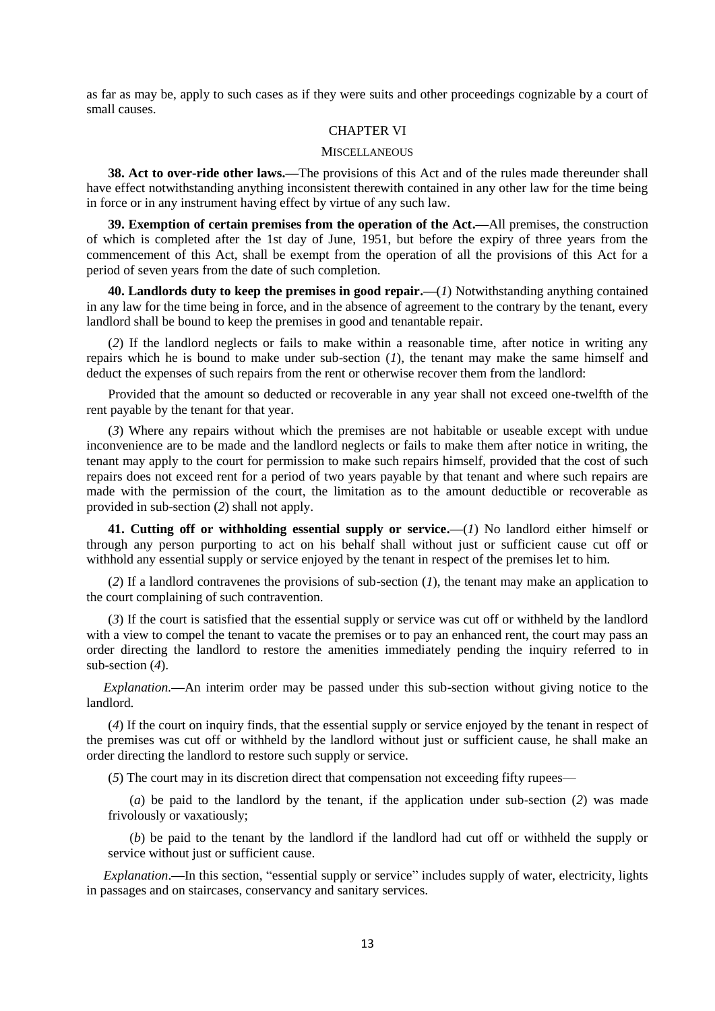as far as may be, apply to such cases as if they were suits and other proceedings cognizable by a court of small causes.

## CHAPTER VI

#### **MISCELLANEOUS**

**38. Act to over-ride other laws.—**The provisions of this Act and of the rules made thereunder shall have effect notwithstanding anything inconsistent therewith contained in any other law for the time being in force or in any instrument having effect by virtue of any such law.

**39. Exemption of certain premises from the operation of the Act.—**All premises, the construction of which is completed after the 1st day of June, 1951, but before the expiry of three years from the commencement of this Act, shall be exempt from the operation of all the provisions of this Act for a period of seven years from the date of such completion.

**40. Landlords duty to keep the premises in good repair.—**(*1*) Notwithstanding anything contained in any law for the time being in force, and in the absence of agreement to the contrary by the tenant, every landlord shall be bound to keep the premises in good and tenantable repair.

(*2*) If the landlord neglects or fails to make within a reasonable time, after notice in writing any repairs which he is bound to make under sub-section (*1*), the tenant may make the same himself and deduct the expenses of such repairs from the rent or otherwise recover them from the landlord:

Provided that the amount so deducted or recoverable in any year shall not exceed one-twelfth of the rent payable by the tenant for that year.

(*3*) Where any repairs without which the premises are not habitable or useable except with undue inconvenience are to be made and the landlord neglects or fails to make them after notice in writing, the tenant may apply to the court for permission to make such repairs himself, provided that the cost of such repairs does not exceed rent for a period of two years payable by that tenant and where such repairs are made with the permission of the court, the limitation as to the amount deductible or recoverable as provided in sub-section (*2*) shall not apply.

**41. Cutting off or withholding essential supply or service.—**(*1*) No landlord either himself or through any person purporting to act on his behalf shall without just or sufficient cause cut off or withhold any essential supply or service enjoyed by the tenant in respect of the premises let to him.

(*2*) If a landlord contravenes the provisions of sub-section (*1*), the tenant may make an application to the court complaining of such contravention.

(*3*) If the court is satisfied that the essential supply or service was cut off or withheld by the landlord with a view to compel the tenant to vacate the premises or to pay an enhanced rent, the court may pass an order directing the landlord to restore the amenities immediately pending the inquiry referred to in sub-section (*4*).

*Explanation.***—**An interim order may be passed under this sub-section without giving notice to the landlord.

(*4*) If the court on inquiry finds, that the essential supply or service enjoyed by the tenant in respect of the premises was cut off or withheld by the landlord without just or sufficient cause, he shall make an order directing the landlord to restore such supply or service.

(*5*) The court may in its discretion direct that compensation not exceeding fifty rupees—

(*a*) be paid to the landlord by the tenant, if the application under sub-section (*2*) was made frivolously or vaxatiously;

(*b*) be paid to the tenant by the landlord if the landlord had cut off or withheld the supply or service without just or sufficient cause.

*Explanation*.**—**In this section, "essential supply or service" includes supply of water, electricity, lights in passages and on staircases, conservancy and sanitary services.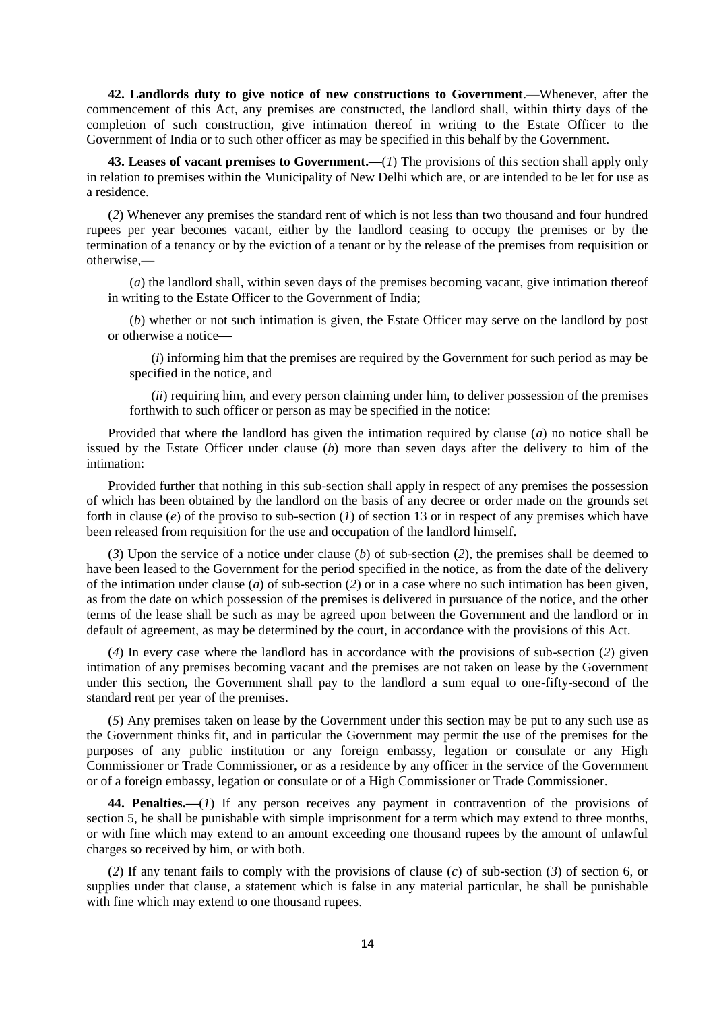**42. Landlords duty to give notice of new constructions to Government**.—Whenever, after the commencement of this Act, any premises are constructed, the landlord shall, within thirty days of the completion of such construction, give intimation thereof in writing to the Estate Officer to the Government of India or to such other officer as may be specified in this behalf by the Government.

**43. Leases of vacant premises to Government.—**(*1*) The provisions of this section shall apply only in relation to premises within the Municipality of New Delhi which are, or are intended to be let for use as a residence.

(*2*) Whenever any premises the standard rent of which is not less than two thousand and four hundred rupees per year becomes vacant, either by the landlord ceasing to occupy the premises or by the termination of a tenancy or by the eviction of a tenant or by the release of the premises from requisition or otherwise,—

(*a*) the landlord shall, within seven days of the premises becoming vacant, give intimation thereof in writing to the Estate Officer to the Government of India;

(*b*) whether or not such intimation is given, the Estate Officer may serve on the landlord by post or otherwise a notice**—**

(*i*) informing him that the premises are required by the Government for such period as may be specified in the notice, and

(*ii*) requiring him, and every person claiming under him, to deliver possession of the premises forthwith to such officer or person as may be specified in the notice:

Provided that where the landlord has given the intimation required by clause (*a*) no notice shall be issued by the Estate Officer under clause (*b*) more than seven days after the delivery to him of the intimation:

Provided further that nothing in this sub-section shall apply in respect of any premises the possession of which has been obtained by the landlord on the basis of any decree or order made on the grounds set forth in clause (*e*) of the proviso to sub-section (*1*) of section 13 or in respect of any premises which have been released from requisition for the use and occupation of the landlord himself.

(*3*) Upon the service of a notice under clause (*b*) of sub-section (*2*), the premises shall be deemed to have been leased to the Government for the period specified in the notice, as from the date of the delivery of the intimation under clause (*a*) of sub-section (*2*) or in a case where no such intimation has been given, as from the date on which possession of the premises is delivered in pursuance of the notice, and the other terms of the lease shall be such as may be agreed upon between the Government and the landlord or in default of agreement, as may be determined by the court, in accordance with the provisions of this Act.

(*4*) In every case where the landlord has in accordance with the provisions of sub-section (*2*) given intimation of any premises becoming vacant and the premises are not taken on lease by the Government under this section, the Government shall pay to the landlord a sum equal to one-fifty-second of the standard rent per year of the premises.

(*5*) Any premises taken on lease by the Government under this section may be put to any such use as the Government thinks fit, and in particular the Government may permit the use of the premises for the purposes of any public institution or any foreign embassy, legation or consulate or any High Commissioner or Trade Commissioner, or as a residence by any officer in the service of the Government or of a foreign embassy, legation or consulate or of a High Commissioner or Trade Commissioner.

**44. Penalties.—**(*1*) If any person receives any payment in contravention of the provisions of section 5, he shall be punishable with simple imprisonment for a term which may extend to three months, or with fine which may extend to an amount exceeding one thousand rupees by the amount of unlawful charges so received by him, or with both.

(*2*) If any tenant fails to comply with the provisions of clause (*c*) of sub-section (*3*) of section 6, or supplies under that clause, a statement which is false in any material particular, he shall be punishable with fine which may extend to one thousand rupees.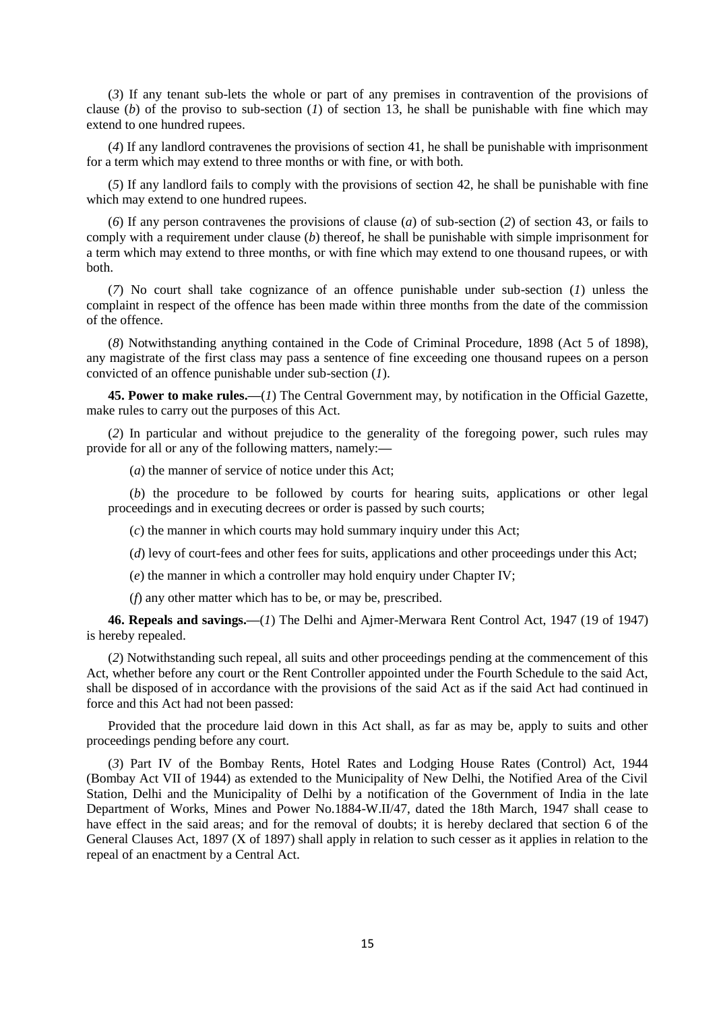(*3*) If any tenant sub-lets the whole or part of any premises in contravention of the provisions of clause (*b*) of the proviso to sub-section (*1*) of section 13, he shall be punishable with fine which may extend to one hundred rupees.

(*4*) If any landlord contravenes the provisions of section 41, he shall be punishable with imprisonment for a term which may extend to three months or with fine, or with both.

(*5*) If any landlord fails to comply with the provisions of section 42, he shall be punishable with fine which may extend to one hundred rupees.

(*6*) If any person contravenes the provisions of clause (*a*) of sub-section (*2*) of section 43, or fails to comply with a requirement under clause (*b*) thereof, he shall be punishable with simple imprisonment for a term which may extend to three months, or with fine which may extend to one thousand rupees, or with both.

(*7*) No court shall take cognizance of an offence punishable under sub-section (*1*) unless the complaint in respect of the offence has been made within three months from the date of the commission of the offence.

(*8*) Notwithstanding anything contained in the Code of Criminal Procedure, 1898 (Act 5 of 1898), any magistrate of the first class may pass a sentence of fine exceeding one thousand rupees on a person convicted of an offence punishable under sub-section (*1*).

**45. Power to make rules.—**(*1*) The Central Government may, by notification in the Official Gazette, make rules to carry out the purposes of this Act.

(*2*) In particular and without prejudice to the generality of the foregoing power, such rules may provide for all or any of the following matters, namely:**—**

(*a*) the manner of service of notice under this Act;

(*b*) the procedure to be followed by courts for hearing suits, applications or other legal proceedings and in executing decrees or order is passed by such courts;

(*c*) the manner in which courts may hold summary inquiry under this Act;

(*d*) levy of court-fees and other fees for suits, applications and other proceedings under this Act;

(*e*) the manner in which a controller may hold enquiry under Chapter IV;

(*f*) any other matter which has to be, or may be, prescribed.

**46. Repeals and savings.—**(*1*) The Delhi and Ajmer-Merwara Rent Control Act, 1947 (19 of 1947) is hereby repealed.

(*2*) Notwithstanding such repeal, all suits and other proceedings pending at the commencement of this Act, whether before any court or the Rent Controller appointed under the Fourth Schedule to the said Act, shall be disposed of in accordance with the provisions of the said Act as if the said Act had continued in force and this Act had not been passed:

Provided that the procedure laid down in this Act shall, as far as may be, apply to suits and other proceedings pending before any court.

(*3*) Part IV of the Bombay Rents, Hotel Rates and Lodging House Rates (Control) Act, 1944 (Bombay Act VII of 1944) as extended to the Municipality of New Delhi, the Notified Area of the Civil Station, Delhi and the Municipality of Delhi by a notification of the Government of India in the late Department of Works, Mines and Power No.1884-W.II/47, dated the 18th March, 1947 shall cease to have effect in the said areas; and for the removal of doubts; it is hereby declared that section 6 of the General Clauses Act, 1897 (X of 1897) shall apply in relation to such cesser as it applies in relation to the repeal of an enactment by a Central Act.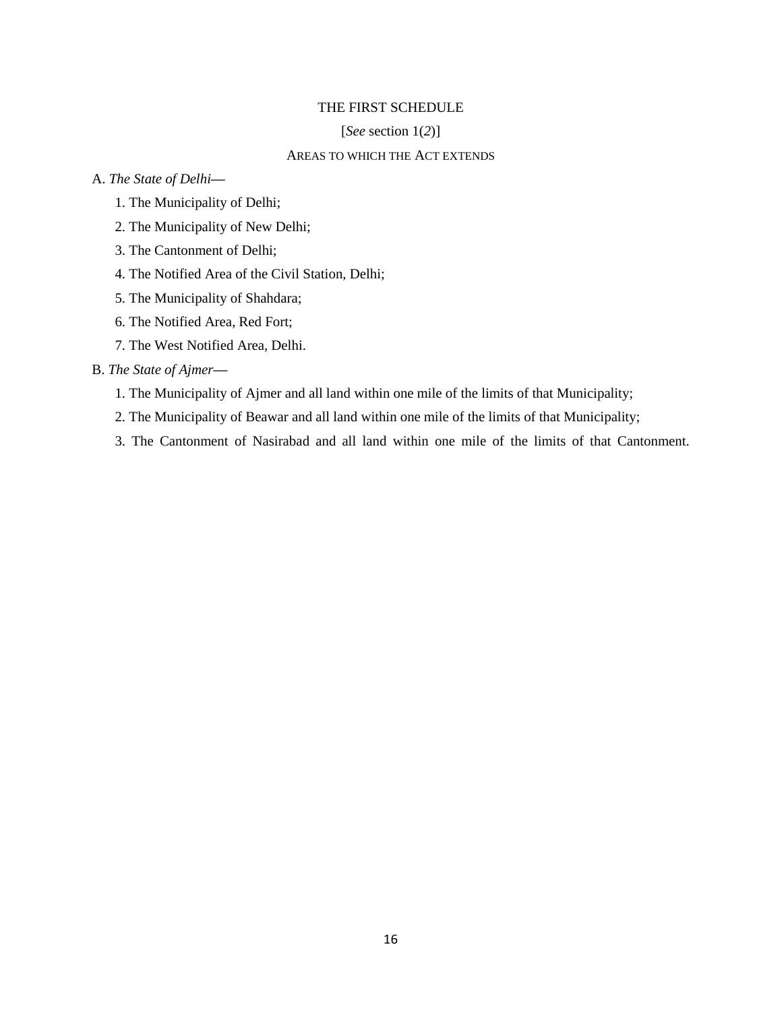## THE FIRST SCHEDULE

#### [*See* section 1(*2*)]

## AREAS TO WHICH THE ACT EXTENDS

### A. *The State of Delhi***—**

- 1. The Municipality of Delhi;
- 2. The Municipality of New Delhi;
- 3. The Cantonment of Delhi;
- 4. The Notified Area of the Civil Station, Delhi;
- 5. The Municipality of Shahdara;
- 6. The Notified Area, Red Fort;
- 7. The West Notified Area, Delhi.

## B. *The State of Ajmer***—**

- 1. The Municipality of Ajmer and all land within one mile of the limits of that Municipality;
- 2. The Municipality of Beawar and all land within one mile of the limits of that Municipality;
- 3. The Cantonment of Nasirabad and all land within one mile of the limits of that Cantonment.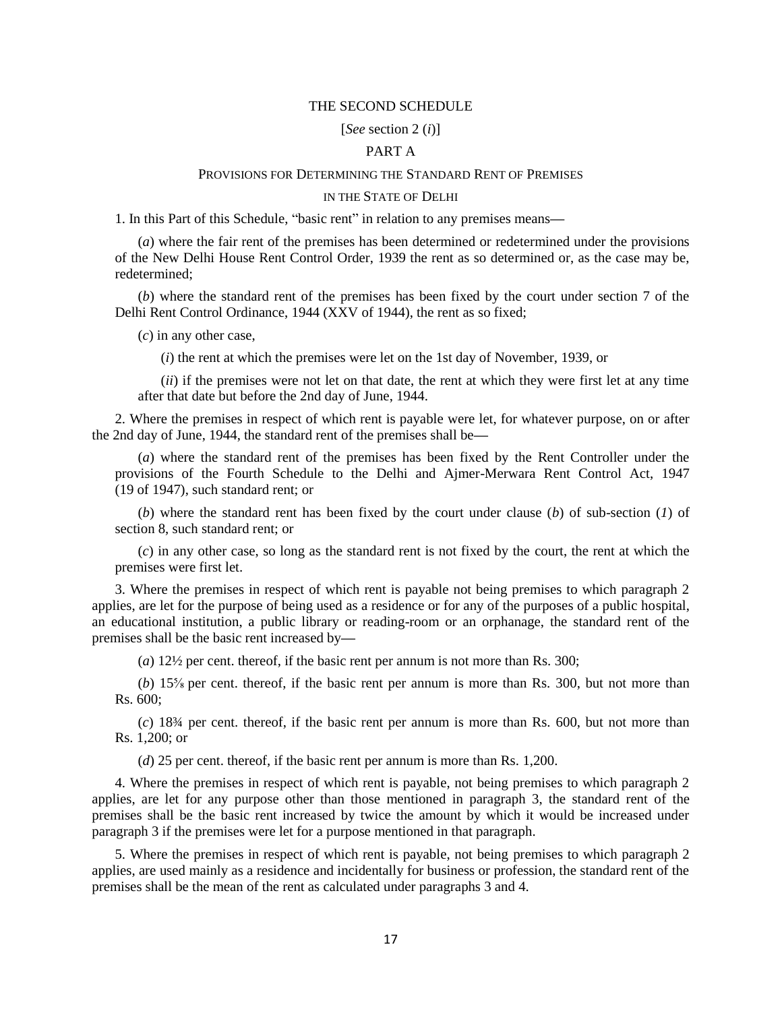## THE SECOND SCHEDULE

#### [*See* section 2 (*i*)]

## PART A

#### PROVISIONS FOR DETERMINING THE STANDARD RENT OF PREMISES

#### IN THE STATE OF DELHI

1. In this Part of this Schedule, "basic rent" in relation to any premises means**—**

(*a*) where the fair rent of the premises has been determined or redetermined under the provisions of the New Delhi House Rent Control Order, 1939 the rent as so determined or, as the case may be, redetermined;

(*b*) where the standard rent of the premises has been fixed by the court under section 7 of the Delhi Rent Control Ordinance, 1944 (XXV of 1944), the rent as so fixed;

(*c*) in any other case,

(*i*) the rent at which the premises were let on the 1st day of November, 1939, or

(*ii*) if the premises were not let on that date, the rent at which they were first let at any time after that date but before the 2nd day of June, 1944.

2. Where the premises in respect of which rent is payable were let, for whatever purpose, on or after the 2nd day of June, 1944, the standard rent of the premises shall be**—**

(*a*) where the standard rent of the premises has been fixed by the Rent Controller under the provisions of the Fourth Schedule to the Delhi and Ajmer-Merwara Rent Control Act, 1947 (19 of 1947), such standard rent; or

(*b*) where the standard rent has been fixed by the court under clause (*b*) of sub-section (*1*) of section 8, such standard rent; or

(*c*) in any other case, so long as the standard rent is not fixed by the court, the rent at which the premises were first let.

3. Where the premises in respect of which rent is payable not being premises to which paragraph 2 applies, are let for the purpose of being used as a residence or for any of the purposes of a public hospital, an educational institution, a public library or reading-room or an orphanage, the standard rent of the premises shall be the basic rent increased by**—**

(*a*) 12½ per cent. thereof, if the basic rent per annum is not more than Rs. 300;

(*b*) 15⅝ per cent. thereof, if the basic rent per annum is more than Rs. 300, but not more than Rs. 600;

(*c*) 18¾ per cent. thereof, if the basic rent per annum is more than Rs. 600, but not more than Rs. 1,200; or

(*d*) 25 per cent. thereof, if the basic rent per annum is more than Rs. 1,200.

4. Where the premises in respect of which rent is payable, not being premises to which paragraph 2 applies, are let for any purpose other than those mentioned in paragraph 3, the standard rent of the premises shall be the basic rent increased by twice the amount by which it would be increased under paragraph 3 if the premises were let for a purpose mentioned in that paragraph.

5. Where the premises in respect of which rent is payable, not being premises to which paragraph 2 applies, are used mainly as a residence and incidentally for business or profession, the standard rent of the premises shall be the mean of the rent as calculated under paragraphs 3 and 4.